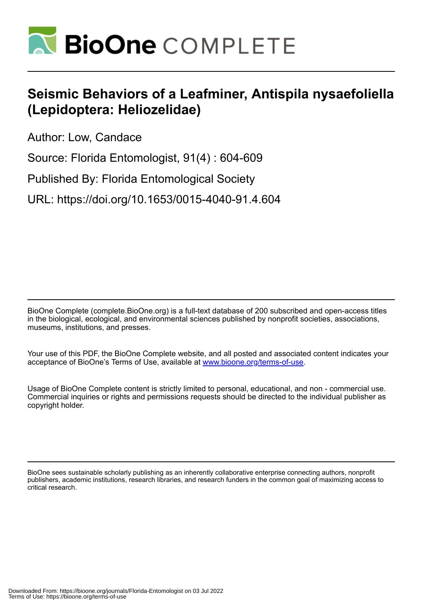

# **Seismic Behaviors of a Leafminer, Antispila nysaefoliella (Lepidoptera: Heliozelidae)**

Author: Low, Candace

Source: Florida Entomologist, 91(4) : 604-609

Published By: Florida Entomological Society

URL: https://doi.org/10.1653/0015-4040-91.4.604

BioOne Complete (complete.BioOne.org) is a full-text database of 200 subscribed and open-access titles in the biological, ecological, and environmental sciences published by nonprofit societies, associations, museums, institutions, and presses.

Your use of this PDF, the BioOne Complete website, and all posted and associated content indicates your acceptance of BioOne's Terms of Use, available at www.bioone.org/terms-of-use.

Usage of BioOne Complete content is strictly limited to personal, educational, and non - commercial use. Commercial inquiries or rights and permissions requests should be directed to the individual publisher as copyright holder.

BioOne sees sustainable scholarly publishing as an inherently collaborative enterprise connecting authors, nonprofit publishers, academic institutions, research libraries, and research funders in the common goal of maximizing access to critical research.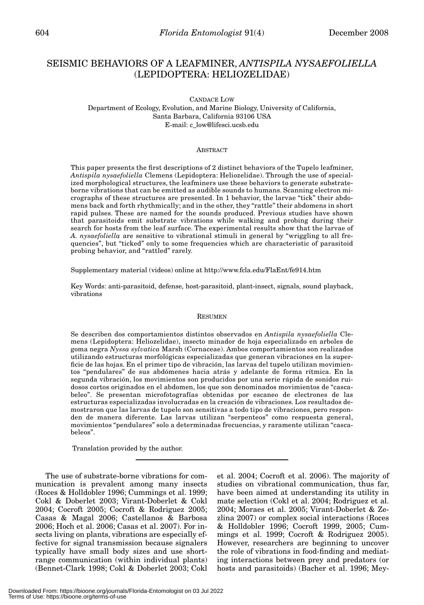# SEISMIC BEHAVIORS OF A LEAFMINER, *ANTISPILA NYSAEFOLIELLA* (LEPIDOPTERA: HELIOZELIDAE)

## CANDACE LOW Department of Ecology, Evolution, and Marine Biology, University of California, Santa Barbara, California 93106 USA E-mail: c\_low@lifesci.ucsb.edu

### **ABSTRACT**

This paper presents the first descriptions of 2 distinct behaviors of the Tupelo leafminer, *Antispila nysaefoliella* Clemens (Lepidoptera: Heliozelidae). Through the use of specialized morphological structures, the leafminers use these behaviors to generate substrateborne vibrations that can be emitted as audible sounds to humans. Scanning electron micrographs of these structures are presented. In 1 behavior, the larvae "tick" their abdomens back and forth rhythmically; and in the other, they "rattle" their abdomens in short rapid pulses. These are named for the sounds produced. Previous studies have shown that parasitoids emit substrate vibrations while walking and probing during their search for hosts from the leaf surface. The experimental results show that the larvae of *A. nysaefoliella* are sensitive to vibrational stimuli in general by "wriggling to all frequencies", but "ticked" only to some frequencies which are characteristic of parasitoid probing behavior, and "rattled" rarely.

Supplementary material (videos) online at http://www.fcla.edu/FlaEnt/fe914.htm

Key Words: anti-parasitoid, defense, host-parasitoid, plant-insect, signals, sound playback, vibrations

#### RESUMEN

Se describen dos comportamientos distintos observados en *Antispila nysaefoliella* Clemens (Lepidoptera: Heliozelidae), insecto minador de hoja especializado en arboles de goma negra *Nyssa sylvatica* Marsh (Cornaceae). Ambos comportamientos son realizados utilizando estructuras morfológicas especializadas que generan vibraciones en la superficie de las hojas. En el primer tipo de vibración, las larvas del tupelo utilizan movimientos "pendulares" de sus abdómenes hacia atrás y adelante de forma rítmica. En la segunda vibración, los movimientos son producidos por una serie rápida de sonidos ruidosos cortos originados en el abdomen, los que son denominados movimientos de "cascabeleo". Se presentan microfotografías obtenidas por escaneo de electrones de las estructuras especializadas involucradas en la creación de vibraciones. Los resultados demostraron que las larvas de tupelo son sensitivas a todo tipo de vibraciones, pero responden de manera diferente. Las larvas utilizan "serpenteos" como respuesta general, movimientos "pendulares" solo a determinadas frecuencias, y raramente utilizan "cascabeleos".

Translation provided by the author.

The use of substrate-borne vibrations for communication is prevalent among many insects (Roces & Holldobler 1996; Cummings et al. 1999; Cokl & Doberlet 2003; Virant-Doberlet & Cokl 2004; Cocroft 2005; Cocroft & Rodriguez 2005; Casas & Magal 2006; Castellanos & Barbosa 2006; Hoch et al. 2006; Casas et al. 2007). For insects living on plants, vibrations are especially effective for signal transmission because signalers typically have small body sizes and use shortrange communication (within individual plants) (Bennet-Clark 1998; Cokl & Doberlet 2003; Cokl et al. 2004; Cocroft et al. 2006). The majority of studies on vibrational communication, thus far, have been aimed at understanding its utility in mate selection (Cokl et al. 2004; Rodriguez et al. 2004; Moraes et al. 2005; Virant-Doberlet & Zezlina 2007) or complex social interactions (Roces & Holldobler 1996; Cocroft 1999, 2005; Cummings et al. 1999; Cocroft & Rodriguez 2005). However, researchers are beginning to uncover the role of vibrations in food-finding and mediating interactions between prey and predators (or hosts and parasitoids) (Bacher et al. 1996; Mey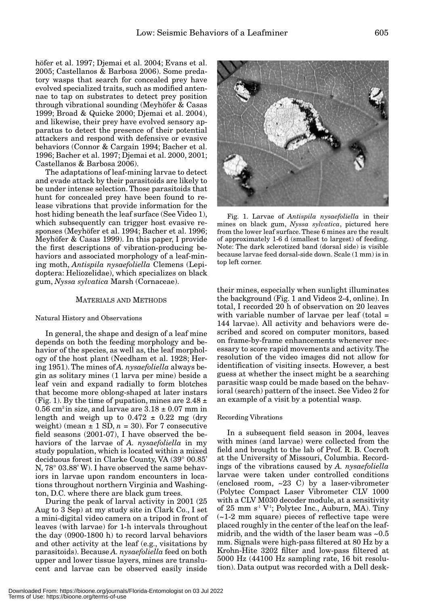höfer et al. 1997; Djemai et al. 2004; Evans et al. 2005; Castellanos & Barbosa 2006). Some predatory wasps that search for concealed prey have evolved specialized traits, such as modified antennae to tap on substrates to detect prey position through vibrational sounding (Meyhöfer & Casas 1999; Broad & Quicke 2000; Djemai et al. 2004), and likewise, their prey have evolved sensory apparatus to detect the presence of their potential attackers and respond with defensive or evasive behaviors (Connor & Cargain 1994; Bacher et al. 1996; Bacher et al. 1997; Djemai et al. 2000, 2001; Castellanos & Barbosa 2006).

The adaptations of leaf-mining larvae to detect and evade attack by their parasitoids are likely to be under intense selection. Those parasitoids that hunt for concealed prey have been found to release vibrations that provide information for the host hiding beneath the leaf surface (See Video 1), which subsequently can trigger host evasive responses (Meyhöfer et al. 1994; Bacher et al. 1996; Meyhöfer & Casas 1999). In this paper, I provide the first descriptions of vibration-producing behaviors and associated morphology of a leaf-mining moth, *Antispila nysaefoliella* Clemens (Lepidoptera: Heliozelidae), which specializes on black gum, *Nyssa sylvatica* Marsh (Cornaceae).

#### MATERIALS AND METHODS

#### Natural History and Observations

In general, the shape and design of a leaf mine depends on both the feeding morphology and behavior of the species, as well as, the leaf morphology of the host plant (Needham et al. 1928; Hering 1951). The mines of *A. nysaefoliella* always begin as solitary mines (1 larva per mine) beside a leaf vein and expand radially to form blotches that become more oblong-shaped at later instars (Fig. 1). By the time of pupation, mines are  $2.48 \pm 1$ 0.56 cm<sup>2</sup> in size, and larvae are  $3.18 \pm 0.07$  mm in length and weigh up to  $0.472 \pm 0.22$  mg (dry weight) (mean  $\pm$  1 SD,  $n = 30$ ). For 7 consecutive field seasons (2001-07), I have observed the behaviors of the larvae of *A. nysaefoliella* in my study population, which is located within a mixed deciduous forest in Clarke County, VA (39° 00.85' N, 78° 03.88' W). I have observed the same behaviors in larvae upon random encounters in locations throughout northern Virginia and Washington, D.C. where there are black gum trees.

During the peak of larval activity in 2001 (25 Aug to 3 Sep) at my study site in Clark Co., I set a mini-digital video camera on a tripod in front of leaves (with larvae) for 1-h intervals throughout the day (0900-1800 h) to record larval behaviors and other activity at the leaf (e.g., visitations by parasitoids). Because *A. nysaefoliella* feed on both upper and lower tissue layers, mines are translucent and larvae can be observed easily inside



Fig. 1. Larvae of *Antispila nysaefoliella* in their mines on black gum, *Nyssa sylvatica*, pictured here from the lower leaf surface. These 6 mines are the result of approximately 1-6 d (smallest to largest) of feeding. Note: The dark sclerotized band (dorsal side) is visible because larvae feed dorsal-side down. Scale (1 mm) is in top left corner.

their mines, especially when sunlight illuminates the background (Fig. 1 and Videos 2-4, online). In total, I recorded 20 h of observation on 20 leaves with variable number of larvae per leaf (total = 144 larvae). All activity and behaviors were described and scored on computer monitors, based on frame-by-frame enhancements whenever necessary to score rapid movements and activity. The resolution of the video images did not allow for identification of visiting insects. However, a best guess at whether the insect might be a searching parasitic wasp could be made based on the behavioral (search) pattern of the insect. See Video 2 for an example of a visit by a potential wasp.

#### Recording Vibrations

In a subsequent field season in 2004, leaves with mines (and larvae) were collected from the field and brought to the lab of Prof. R. B. Cocroft at the University of Missouri, Columbia. Recordings of the vibrations caused by *A. nysaefoliella* larvae were taken under controlled conditions (enclosed room, ~23 C) by a laser-vibrometer (Polytec Compact Laser Vibrometer CLV 1000 with a CLV M030 decoder module, at a sensitivity of 25 mm  $s<sup>-1</sup> V<sup>-1</sup>$ ; Polytec Inc., Auburn, MA). Tiny (~1-2 mm square) pieces of reflective tape were placed roughly in the center of the leaf on the leafmidrib, and the width of the laser beam was  $\sim 0.5$ mm. Signals were high-pass filtered at 80 Hz by a Krohn-Hite 3202 filter and low-pass filtered at 5000 Hz (44100 Hz sampling rate, 16 bit resolution). Data output was recorded with a Dell desk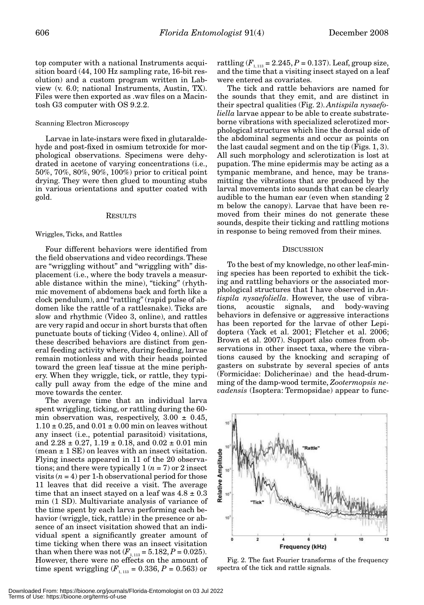top computer with a national Instruments acquisition board (44, 100 Hz sampling rate, 16-bit resolution) and a custom program written in Labview (v. 6.0; national Instruments, Austin, TX). Files were then exported as .wav files on a Macintosh G3 computer with OS 9.2.2.

#### Scanning Electron Microscopy

Larvae in late-instars were fixed in glutaraldehyde and post-fixed in osmium tetroxide for morphological observations. Specimens were dehydrated in acetone of varying concentrations (i.e., 50%, 70%, 80%, 90%, 100%) prior to critical point drying. They were then glued to mounting stubs in various orientations and sputter coated with gold.

#### RESULTS

#### Wriggles, Ticks, and Rattles

Four different behaviors were identified from the field observations and video recordings. These are "wriggling without" and "wriggling with" displacement (i.e., where the body travels a measurable distance within the mine), "ticking" (rhythmic movement of abdomens back and forth like a clock pendulum), and "rattling" (rapid pulse of abdomen like the rattle of a rattlesnake). Ticks are slow and rhythmic (Video 3, online), and rattles are very rapid and occur in short bursts that often punctuate bouts of ticking (Video 4, online). All of these described behaviors are distinct from general feeding activity where, during feeding, larvae remain motionless and with their heads pointed toward the green leaf tissue at the mine periphery. When they wriggle, tick, or rattle, they typically pull away from the edge of the mine and move towards the center.

The average time that an individual larva spent wriggling, ticking, or rattling during the 60 min observation was, respectively,  $3.00 \pm 0.45$ ,  $1.10 \pm 0.25$ , and  $0.01 \pm 0.00$  min on leaves without any insect (i.e., potential parasitoid) visitations, and  $2.28 \pm 0.27$ ,  $1.19 \pm 0.18$ , and  $0.02 \pm 0.01$  min  $(mean \pm 1 SE)$  on leaves with an insect visitation. Flying insects appeared in 11 of the 20 observations; and there were typically  $1 (n = 7)$  or  $2$  insect visits  $(n = 4)$  per 1-h observational period for those 11 leaves that did receive a visit. The average time that an insect stayed on a leaf was  $4.8 \pm 0.3$ min (1 SD). Multivariate analysis of variance of the time spent by each larva performing each behavior (wriggle, tick, rattle) in the presence or absence of an insect visitation showed that an individual spent a significantly greater amount of time ticking when there was an insect visitation than when there was not  $(F_{1,113} = 5.182, P = 0.025)$ . However, there were no effects on the amount of time spent wriggling  $(F_{1, 113} = 0.336, P = 0.563)$  or

rattling  $(F_{1,113} = 2.245, P = 0.137)$ . Leaf, group size, and the time that a visiting insect stayed on a leaf were entered as covariates.

The tick and rattle behaviors are named for the sounds that they emit, and are distinct in their spectral qualities (Fig. 2). *Antispila nysaefoliella* larvae appear to be able to create substrateborne vibrations with specialized sclerotized morphological structures which line the dorsal side of the abdominal segments and occur as points on the last caudal segment and on the tip (Figs. 1, 3). All such morphology and sclerotization is lost at pupation. The mine epidermis may be acting as a tympanic membrane, and hence, may be transmitting the vibrations that are produced by the larval movements into sounds that can be clearly audible to the human ear (even when standing 2 m below the canopy). Larvae that have been removed from their mines do not generate these sounds, despite their ticking and rattling motions in response to being removed from their mines.

#### **DISCUSSION**

To the best of my knowledge, no other leaf-mining species has been reported to exhibit the ticking and rattling behaviors or the associated morphological structures that I have observed in *Antispila nysaefoliella*. However, the use of vibrations, acoustic signals, and body-waving behaviors in defensive or aggressive interactions has been reported for the larvae of other Lepidoptera (Yack et al. 2001; Fletcher et al. 2006; Brown et al. 2007). Support also comes from observations in other insect taxa, where the vibrations caused by the knocking and scraping of gasters on substrate by several species of ants (Formicidae: Dolicherinae) and the head-drumming of the damp-wood termite, *Zootermopsis nevadensis* (Isoptera: Termopsidae) appear to func-



Fig. 2. The fast Fourier transforms of the frequency spectra of the tick and rattle signals.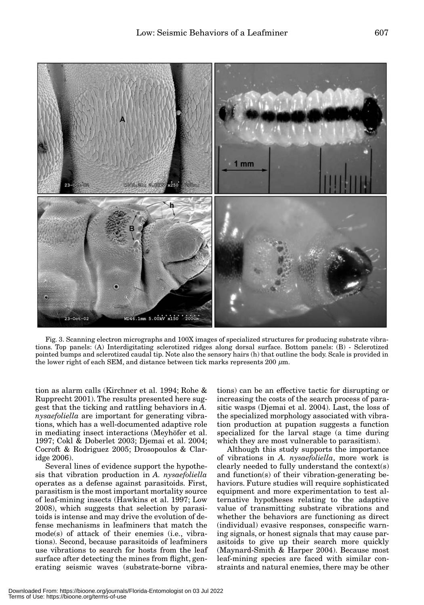

Fig. 3. Scanning electron micrographs and 100X images of specialized structures for producing substrate vibrations. Top panels: (A) Interdigitating sclerotized ridges along dorsal surface. Bottom panels: (B) - Sclerotized pointed bumps and sclerotized caudal tip. Note also the sensory hairs (h) that outline the body. Scale is provided in the lower right of each SEM, and distance between tick marks represents 200  $\mu$ m.

tion as alarm calls (Kirchner et al. 1994; Rohe & Rupprecht 2001). The results presented here suggest that the ticking and rattling behaviors in *A. nysaefoliella* are important for generating vibrations, which has a well-documented adaptive role in mediating insect interactions (Meyhöfer et al. 1997; Cokl & Doberlet 2003; Djemai et al. 2004; Cocroft & Rodriguez 2005; Drosopoulos & Claridge 2006).

Several lines of evidence support the hypothesis that vibration production in *A. nysaefoliella* operates as a defense against parasitoids. First, parasitism is the most important mortality source of leaf-mining insects (Hawkins et al. 1997; Low 2008), which suggests that selection by parasitoids is intense and may drive the evolution of defense mechanisms in leafminers that match the mode(s) of attack of their enemies (i.e., vibrations). Second, because parasitoids of leafminers use vibrations to search for hosts from the leaf surface after detecting the mines from flight, generating seismic waves (substrate-borne vibra-

tions) can be an effective tactic for disrupting or increasing the costs of the search process of parasitic wasps (Djemai et al. 2004). Last, the loss of the specialized morphology associated with vibration production at pupation suggests a function specialized for the larval stage (a time during which they are most vulnerable to parasitism).

Although this study supports the importance of vibrations in *A. nysaefoliella*, more work is clearly needed to fully understand the context(s) and function(s) of their vibration-generating behaviors. Future studies will require sophisticated equipment and more experimentation to test alternative hypotheses relating to the adaptive value of transmitting substrate vibrations and whether the behaviors are functioning as direct (individual) evasive responses, conspecific warning signals, or honest signals that may cause parasitoids to give up their search more quickly (Maynard-Smith & Harper 2004). Because most leaf-mining species are faced with similar constraints and natural enemies, there may be other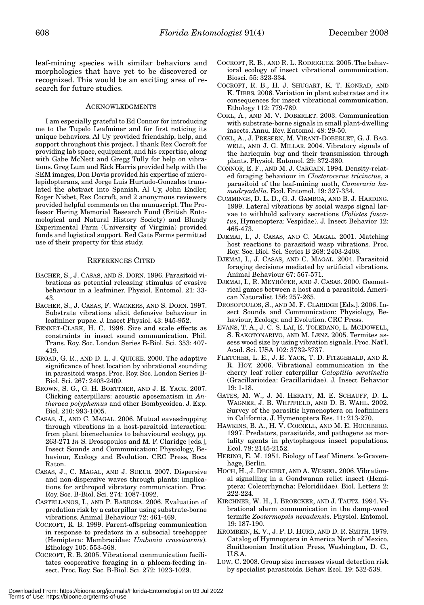leaf-mining species with similar behaviors and morphologies that have yet to be discovered or recognized. This would be an exciting area of research for future studies.

#### ACKNOWLEDGMENTS

I am especially grateful to Ed Connor for introducing me to the Tupelo Leafminer and for first noticing its unique behaviors. Al Uy provided friendship, help, and support throughout this project. I thank Rex Cocroft for providing lab space, equipment, and his expertise, along with Gabe McNett and Gregg Tully for help on vibrations. Greg Lum and Rick Harris provided help with the SEM images, Don Davis provided his expertise of microlepidopterans, and Jorge Luis Hurtado-Gonzales translated the abstract into Spanish. Al Uy, John Endler, Roger Nisbet, Rex Cocroft, and 2 anonymous reviewers provided helpful comments on the manuscript. The Professor Hering Memorial Research Fund (British Entomological and Natural History Society) and Blandy Experimental Farm (University of Virginia) provided funds and logistical support. Red Gate Farms permitted use of their property for this study.

#### REFERENCES CITED

- BACHER, S., J. CASAS, AND S. DORN. 1996. Parasitoid vibrations as potential releasing stimulus of evasive behaviour in a leafminer. Physiol. Entomol. 21: 33- 43.
- BACHER, S., J. CASAS, F. WACKERS, AND S. DORN. 1997. Substrate vibrations elicit defensive behaviour in leafminer pupae. J. Insect Physiol. 43: 945-952.
- BENNET-CLARK, H. C. 1998. Size and scale effects as constraints in insect sound communication. Phil. Trans. Roy. Soc. London Series B-Biol. Sci. 353: 407- 419.
- BROAD, G. R., AND D. L. J. QUICKE. 2000. The adaptive significance of host location by vibrational sounding in parasitoid wasps. Proc. Roy. Soc. London Series B-Biol. Sci. 267: 2403-2409.
- BROWN, S. G., G. H. BOETTNER, AND J. E. YACK. 2007. Clicking caterpillars: acoustic aposematism in *Antheraea polyphemus* and other Bombycoidea. J. Exp. Biol. 210: 993-1005.
- CASAS, J., AND C. MAGAL. 2006. Mutual eavesdropping through vibrations in a host-paraitoid interaction: from plant biomechanics to behavioural ecology, pp. 263-271 *In* S. Drosopoulos and M. F. Claridge [eds.], Insect Sounds and Communication: Physiology, Behaviour, Ecology and Evolution. CRC Press, Boca Raton.
- CASAS, J., C. MAGAL, AND J. SUEUR. 2007. Dispersive and non-dispersive waves through plants: implications for arthropod vibratory communication. Proc. Roy. Soc. B-Biol. Sci. 274: 1087-1092.
- CASTELLANOS, I., AND P. BARBOSA. 2006. Evaluation of predation risk by a caterpillar using substrate-borne vibrations. Animal Behaviour 72: 461-469.
- COCROFT, R. B. 1999. Parent-offspring communication in response to predators in a subsocial treehopper (Hemiptera: Membracidae: *Umbonia crassicornis*). Ethology 105: 553-568.
- COCROFT, R. B. 2005. Vibrational communication facilitates cooperative foraging in a phloem-feeding insect. Proc. Roy. Soc. B-Biol. Sci. 272: 1023-1029.
- COCROFT, R. B., AND R. L. RODRIGUEZ. 2005. The behavioral ecology of insect vibrational communication. Biosci. 55: 323-334.
- COCROFT, R. B., H. J. SHUGART, K. T. KONRAD, AND K. TIBBS. 2006. Variation in plant substrates and its consequences for insect vibrational communication. Ethology 112: 779-789.
- COKL, A., AND M. V. DOBERLET. 2003. Communication with substrate-borne signals in small plant-dwelling insects. Annu. Rev. Entomol. 48: 29-50.
- COKL, A., J. PRESERN, M. VIRANT-DOBERLET, G. J. BAG-WELL, AND J. G. MILLAR. 2004. Vibratory signals of the harlequin bug and their transmission through plants. Physiol. Entomol. 29: 372-380.
- CONNOR, E. F., AND M. J. CARGAIN. 1994. Density-related foraging behaviour in *Closterocerus tricinctus*, a parasitoid of the leaf-mining moth, *Cameraria hamadryadella*. Ecol. Entomol. 19: 327-334.
- CUMMINGS, D. L. D., G. J. GAMBOA, AND B. J. HARDING. 1999. Lateral vibrations by social wasps signal larvae to withhold salivary secretions (*Polistes fuscatus*, Hymenoptera: Vespidae). J. Insect Behavior 12: 465-473.
- DJEMAI, I., J. CASAS, AND C. MAGAL. 2001. Matching host reactions to parasitoid wasp vibrations. Proc. Roy. Soc. Biol. Sci. Series B 268: 2403-2408.
- DJEMAI, I., J. CASAS, AND C. MAGAL. 2004. Parasitoid foraging decisions mediated by artificial vibrations. Animal Behaviour 67: 567-571.
- DJEMAI, I., R. MEYHÖFER, AND J. CASAS. 2000. Geometrical games between a host and a parasitoid. American Naturalist 156: 257-265.
- DROSOPOULOS, S., AND M. F. CLARIDGE [Eds.]. 2006. Insect Sounds and Communication: Physiology, Behaviour, Ecology, and Evolution. CRC Press.
- EVANS, T. A., J. C. S. LAI, E. TOLEDANO, L. MCDOWELL, S. RAKOTONARIVO, AND M. LENZ. 2005. Termites assess wood size by using vibration signals. Proc. Nat'l. Acad. Sci. USA 102: 3732-3737.
- FLETCHER, L. E., J. E. YACK, T. D. FITZGERALD, AND R. R. HOY. 2006. Vibrational communication in the cherry leaf roller caterpillar *Caloptilia serotinella* (Gracillarioidea: Gracillariidae). J. Insect Behavior  $19: 1-18.$
- GATES, M. W., J. M. HERATY, M. E. SCHAUFF, D. L. WAGNER, J. B. WHITFIELD, AND D. B. WAHL. 2002. Survey of the parasitic hymenoptera on leafminers in California. J. Hymenoptera Res. 11: 213-270.
- HAWKINS, B. A., H. V. CORNELL, AND M. E. HOCHBERG. 1997. Predators, parasitoids, and pathogens as mortality agents in phytophagous insect populations. Ecol. 78: 2145-2152.
- HERING, E. M. 1951. Biology of Leaf Miners. 's-Gravenhage, Berlin.
- HOCH, H., J. DECKERT, AND A. WESSEL. 2006. Vibrational signalling in a Gondwanan relict insect (Hemiptera: Coleorrhyncha: Peloridiidae). Biol. Letters 2: 222-224.
- KIRCHNER, W. H., I. BROECKER, AND J. TAUTZ. 1994. Vibrational alarm communication in the damp-wood termite *Zootermopsis nevadensis*. Physiol. Entomol. 19: 187-190.
- KROMBEIN, K. V., J. P. D. HURD, AND D. R. SMITH. 1979. Catalog of Hymnoptera in America North of Mexico. Smithsonian Institution Press, Washington, D. C., U.S.A.
- LOW, C. 2008. Group size increases visual detection risk by specialist parasitoids. Behav. Ecol. 19: 532-538.